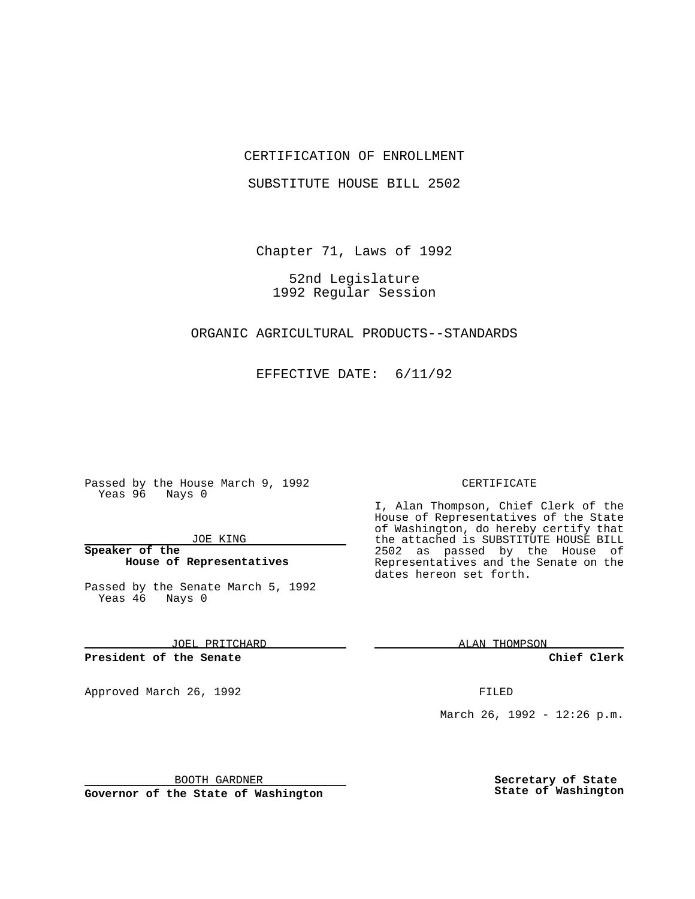### CERTIFICATION OF ENROLLMENT

SUBSTITUTE HOUSE BILL 2502

Chapter 71, Laws of 1992

52nd Legislature 1992 Regular Session

#### ORGANIC AGRICULTURAL PRODUCTS--STANDARDS

EFFECTIVE DATE: 6/11/92

Passed by the House March 9, 1992 Yeas 96 Nays 0

#### JOE KING

## **Speaker of the House of Representatives**

Passed by the Senate March 5, 1992 Yeas 46 Nays 0

JOEL PRITCHARD

#### **President of the Senate**

Approved March 26, 1992 **FILED** 

#### CERTIFICATE

I, Alan Thompson, Chief Clerk of the House of Representatives of the State of Washington, do hereby certify that the attached is SUBSTITUTE HOUSE BILL 2502 as passed by the House of Representatives and the Senate on the dates hereon set forth.

ALAN THOMPSON

**Chief Clerk**

March 26, 1992 - 12:26 p.m.

BOOTH GARDNER

**Governor of the State of Washington**

**Secretary of State State of Washington**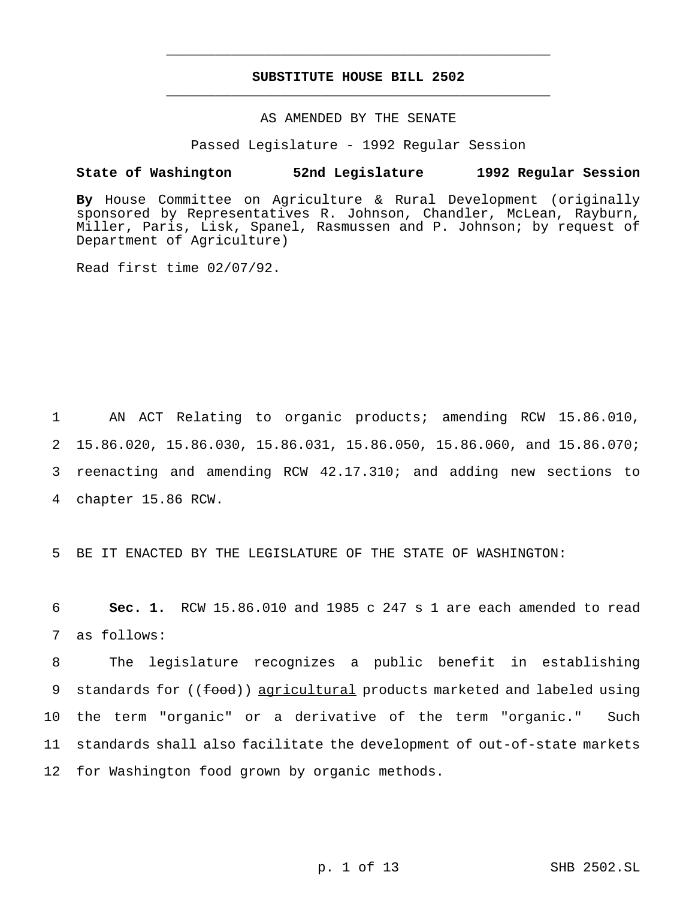# **SUBSTITUTE HOUSE BILL 2502** \_\_\_\_\_\_\_\_\_\_\_\_\_\_\_\_\_\_\_\_\_\_\_\_\_\_\_\_\_\_\_\_\_\_\_\_\_\_\_\_\_\_\_\_\_\_\_

\_\_\_\_\_\_\_\_\_\_\_\_\_\_\_\_\_\_\_\_\_\_\_\_\_\_\_\_\_\_\_\_\_\_\_\_\_\_\_\_\_\_\_\_\_\_\_

## AS AMENDED BY THE SENATE

Passed Legislature - 1992 Regular Session

#### **State of Washington 52nd Legislature 1992 Regular Session**

**By** House Committee on Agriculture & Rural Development (originally sponsored by Representatives R. Johnson, Chandler, McLean, Rayburn, Miller, Paris, Lisk, Spanel, Rasmussen and P. Johnson; by request of Department of Agriculture)

Read first time 02/07/92.

 AN ACT Relating to organic products; amending RCW 15.86.010, 15.86.020, 15.86.030, 15.86.031, 15.86.050, 15.86.060, and 15.86.070; reenacting and amending RCW 42.17.310; and adding new sections to chapter 15.86 RCW.

5 BE IT ENACTED BY THE LEGISLATURE OF THE STATE OF WASHINGTON:

6 **Sec. 1.** RCW 15.86.010 and 1985 c 247 s 1 are each amended to read 7 as follows:

 The legislature recognizes a public benefit in establishing 9 standards for ((food)) agricultural products marketed and labeled using the term "organic" or a derivative of the term "organic." Such standards shall also facilitate the development of out-of-state markets for Washington food grown by organic methods.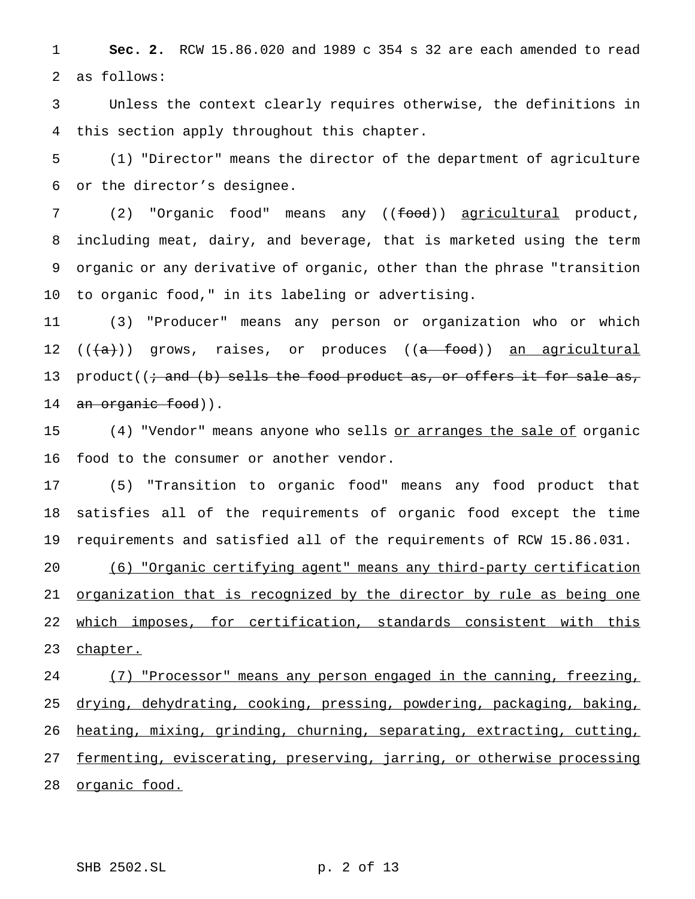**Sec. 2.** RCW 15.86.020 and 1989 c 354 s 32 are each amended to read as follows:

 Unless the context clearly requires otherwise, the definitions in this section apply throughout this chapter.

 (1) "Director" means the director of the department of agriculture or the director's designee.

7 (2) "Organic food" means any ((food)) agricultural product, including meat, dairy, and beverage, that is marketed using the term organic or any derivative of organic, other than the phrase "transition to organic food," in its labeling or advertising.

 (3) "Producer" means any person or organization who or which 12  $((a+))$  grows, raises, or produces  $((a - food))$  an agricultural 13 product( $(i \cdot$  and  $(b)$  sells the food product as, or offers it for sale as, 14 an organic food)).

15 (4) "Vendor" means anyone who sells or arranges the sale of organic food to the consumer or another vendor.

 (5) "Transition to organic food" means any food product that satisfies all of the requirements of organic food except the time requirements and satisfied all of the requirements of RCW 15.86.031.

 (6) "Organic certifying agent" means any third-party certification organization that is recognized by the director by rule as being one 22 which imposes, for certification, standards consistent with this 23 chapter.

 (7) "Processor" means any person engaged in the canning, freezing, 25 drying, dehydrating, cooking, pressing, powdering, packaging, baking, heating, mixing, grinding, churning, separating, extracting, cutting, fermenting, eviscerating, preserving, jarring, or otherwise processing 28 organic food.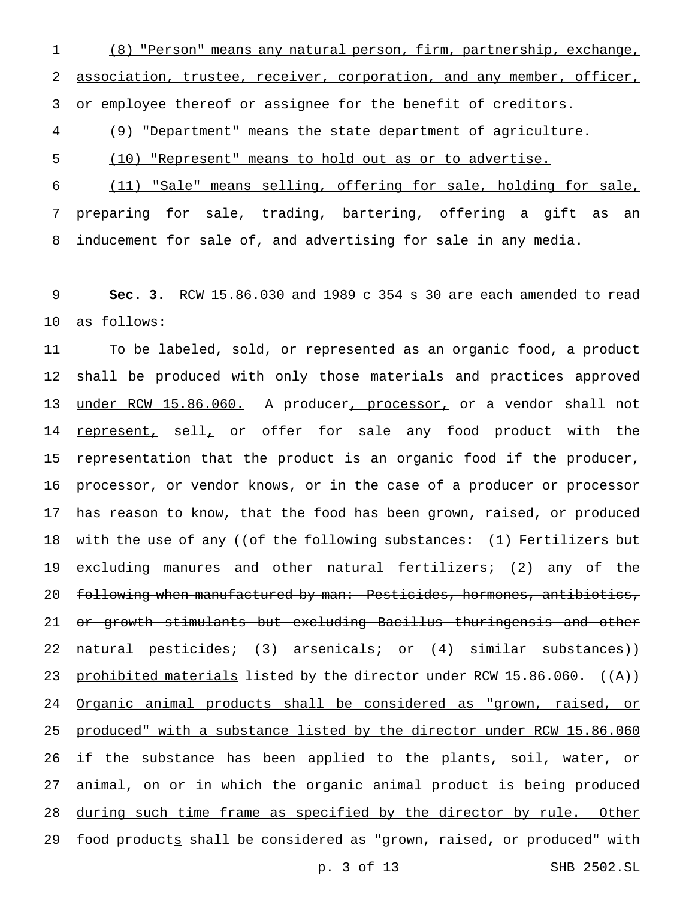1 (8) "Person" means any natural person, firm, partnership, exchange, 2 association, trustee, receiver, corporation, and any member, officer, 3 or employee thereof or assignee for the benefit of creditors.

4 (9) "Department" means the state department of agriculture.

5 (10) "Represent" means to hold out as or to advertise.

6 (11) "Sale" means selling, offering for sale, holding for sale, 7 preparing for sale, trading, bartering, offering a gift as an 8 inducement for sale of, and advertising for sale in any media.

9 **Sec. 3.** RCW 15.86.030 and 1989 c 354 s 30 are each amended to read 10 as follows:

11 To be labeled, sold, or represented as an organic food, a product 12 shall be produced with only those materials and practices approved 13 under RCW 15.86.060. A producer, processor, or a vendor shall not 14 represent, sell, or offer for sale any food product with the 15 representation that the product is an organic food if the producer $<sub>L</sub>$ </sub> 16 processor, or vendor knows, or in the case of a producer or processor 17 has reason to know, that the food has been grown, raised, or produced 18 with the use of any ((<del>of the following substances: (1) Fertilizers but</del> 19 excluding manures and other natural fertilizers; (2) any of the 20 following when manufactured by man: Pesticides, hormones, antibiotics, 21 or growth stimulants but excluding Bacillus thuringensis and other 22 natural pesticides; (3) arsenicals; or (4) similar substances)) 23 prohibited materials listed by the director under RCW 15.86.060. ((A)) 24 Organic animal products shall be considered as "grown, raised, or 25 produced" with a substance listed by the director under RCW 15.86.060 26 if the substance has been applied to the plants, soil, water, or 27 animal, on or in which the organic animal product is being produced 28 during such time frame as specified by the director by rule. Other 29 food products shall be considered as "grown, raised, or produced" with

p. 3 of 13 SHB 2502.SL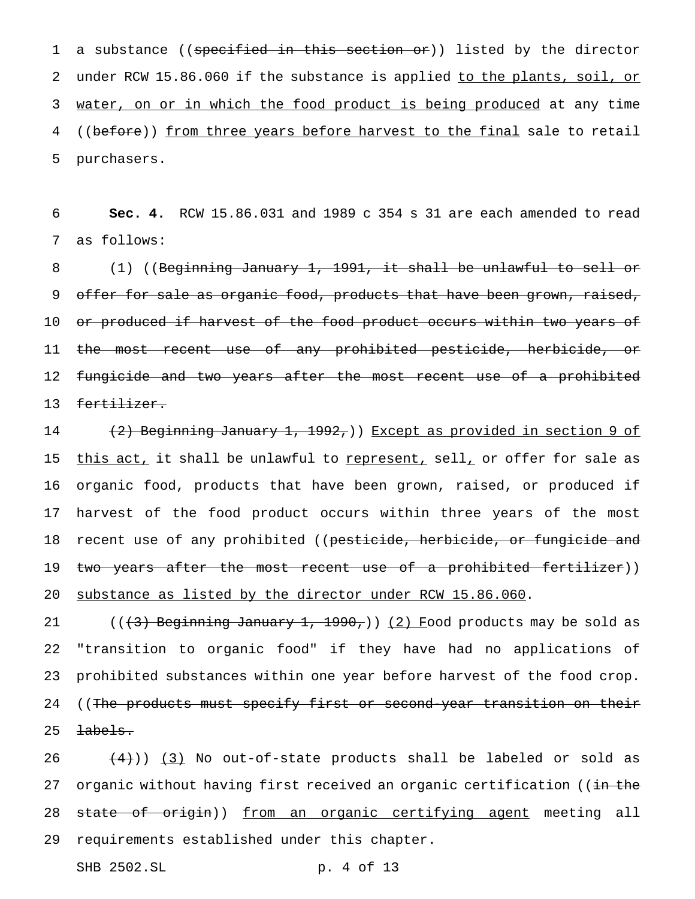1 a substance ((specified in this section or)) listed by the director 2 under RCW 15.86.060 if the substance is applied to the plants, soil, or 3 water, on or in which the food product is being produced at any time 4 ((before)) from three years before harvest to the final sale to retail 5 purchasers.

6 **Sec. 4.** RCW 15.86.031 and 1989 c 354 s 31 are each amended to read 7 as follows:

 (1) ((Beginning January 1, 1991, it shall be unlawful to sell or 9 offer for sale as organic food, products that have been grown, raised, or produced if harvest of the food product occurs within two years of 11 the most recent use of any prohibited pesticide, herbicide, or fungicide and two years after the most recent use of a prohibited fertilizer.

14 (2) Beginning January 1, 1992,)) Except as provided in section 9 of 15 this act, it shall be unlawful to represent, sell, or offer for sale as 16 organic food, products that have been grown, raised, or produced if 17 harvest of the food product occurs within three years of the most 18 recent use of any prohibited ((pesticide, herbicide, or fungicide and 19 two years after the most recent use of a prohibited fertilizer)) 20 substance as listed by the director under RCW 15.86.060.

21 ( $(\frac{1}{3})$  Beginning January 1, 1990,)) (2) Food products may be sold as 22 "transition to organic food" if they have had no applications of 23 prohibited substances within one year before harvest of the food crop. 24 ((The products must specify first or second-year transition on their  $25$   $\pm abels.$ 

26  $(4)$ ) (3) No out-of-state products shall be labeled or sold as 27 organic without having first received an organic certification ((in the 28 state of origin)) from an organic certifying agent meeting all 29 requirements established under this chapter.

SHB 2502.SL p. 4 of 13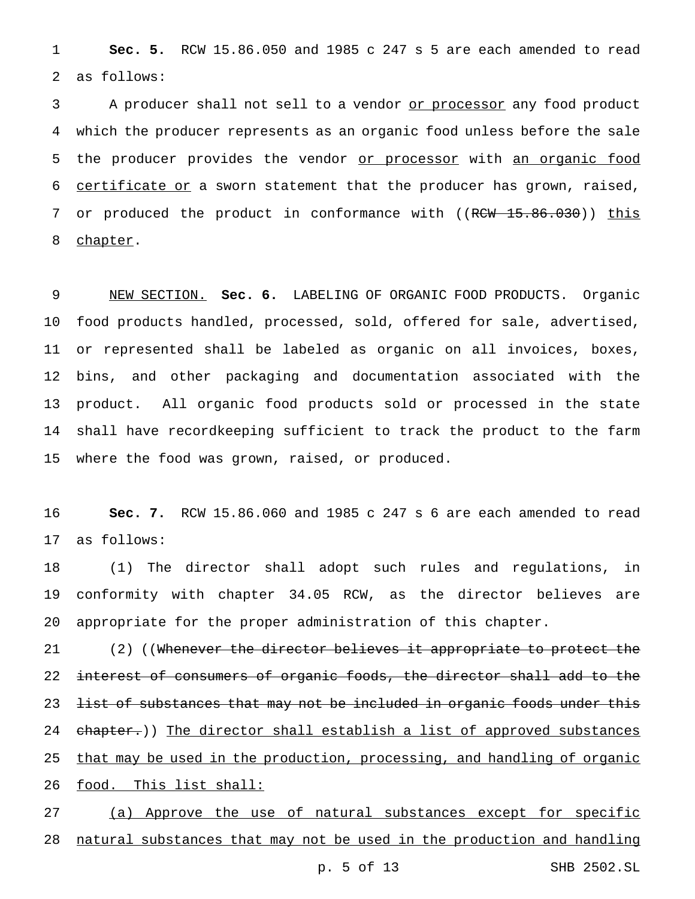1 **Sec. 5.** RCW 15.86.050 and 1985 c 247 s 5 are each amended to read 2 as follows:

3 A producer shall not sell to a vendor or processor any food product 4 which the producer represents as an organic food unless before the sale 5 the producer provides the vendor or processor with an organic food 6 certificate or a sworn statement that the producer has grown, raised, 7 or produced the product in conformance with ((RCW 15.86.030)) this 8 chapter.

 NEW SECTION. **Sec. 6.** LABELING OF ORGANIC FOOD PRODUCTS. Organic food products handled, processed, sold, offered for sale, advertised, or represented shall be labeled as organic on all invoices, boxes, bins, and other packaging and documentation associated with the product. All organic food products sold or processed in the state shall have recordkeeping sufficient to track the product to the farm where the food was grown, raised, or produced.

16 **Sec. 7.** RCW 15.86.060 and 1985 c 247 s 6 are each amended to read 17 as follows:

18 (1) The director shall adopt such rules and regulations, in 19 conformity with chapter 34.05 RCW, as the director believes are 20 appropriate for the proper administration of this chapter.

21 (2) ((Whenever the director believes it appropriate to protect the 22 interest of consumers of organic foods, the director shall add to the 23 list of substances that may not be included in organic foods under this 24 chapter.)) The director shall establish a list of approved substances 25 that may be used in the production, processing, and handling of organic 26 food. This list shall:

27 (a) Approve the use of natural substances except for specific 28 natural substances that may not be used in the production and handling

p. 5 of 13 SHB 2502.SL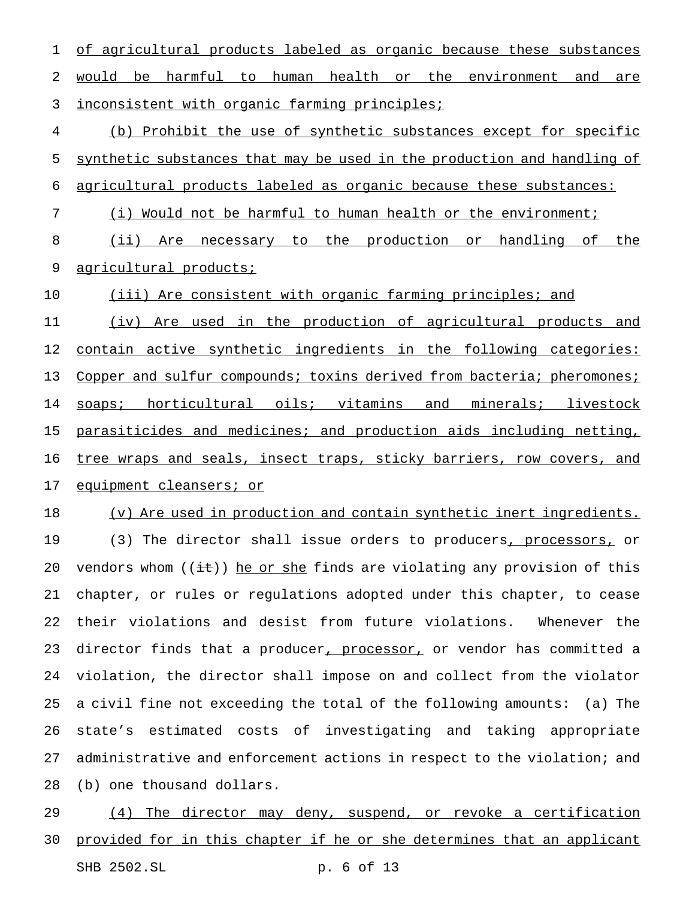of agricultural products labeled as organic because these substances would be harmful to human health or the environment and are 3 inconsistent with organic farming principles;

 (b) Prohibit the use of synthetic substances except for specific synthetic substances that may be used in the production and handling of agricultural products labeled as organic because these substances:

(i) Would not be harmful to human health or the environment;

 (ii) Are necessary to the production or handling of the 9 agricultural products;

(iii) Are consistent with organic farming principles; and

 (iv) Are used in the production of agricultural products and contain active synthetic ingredients in the following categories: 13 Copper and sulfur compounds; toxins derived from bacteria; pheromones; 14 soaps; horticultural oils; vitamins and minerals; livestock parasiticides and medicines; and production aids including netting, tree wraps and seals, insect traps, sticky barriers, row covers, and 17 equipment cleansers; or

(v) Are used in production and contain synthetic inert ingredients.

19 (3) The director shall issue orders to producers, processors, or 20 vendors whom  $((i+))$  he or she finds are violating any provision of this chapter, or rules or regulations adopted under this chapter, to cease their violations and desist from future violations. Whenever the 23 director finds that a producer, processor, or vendor has committed a violation, the director shall impose on and collect from the violator a civil fine not exceeding the total of the following amounts: (a) The state's estimated costs of investigating and taking appropriate administrative and enforcement actions in respect to the violation; and (b) one thousand dollars.

 (4) The director may deny, suspend, or revoke a certification provided for in this chapter if he or she determines that an applicant SHB 2502.SL p. 6 of 13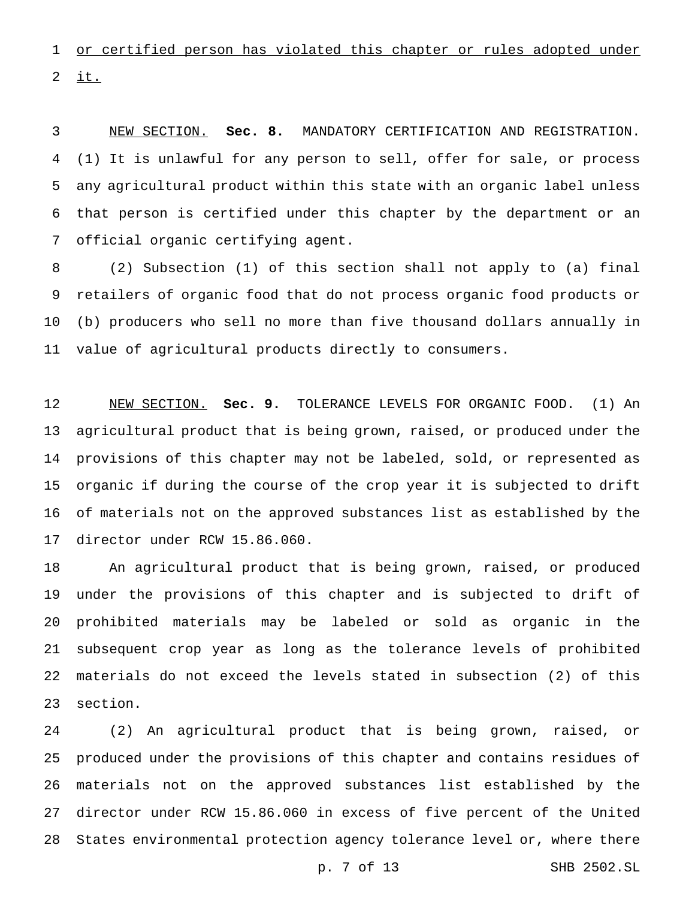or certified person has violated this chapter or rules adopted under  $i$ t.

 NEW SECTION. **Sec. 8.** MANDATORY CERTIFICATION AND REGISTRATION. (1) It is unlawful for any person to sell, offer for sale, or process any agricultural product within this state with an organic label unless that person is certified under this chapter by the department or an official organic certifying agent.

 (2) Subsection (1) of this section shall not apply to (a) final retailers of organic food that do not process organic food products or (b) producers who sell no more than five thousand dollars annually in value of agricultural products directly to consumers.

 NEW SECTION. **Sec. 9.** TOLERANCE LEVELS FOR ORGANIC FOOD. (1) An agricultural product that is being grown, raised, or produced under the provisions of this chapter may not be labeled, sold, or represented as organic if during the course of the crop year it is subjected to drift of materials not on the approved substances list as established by the director under RCW 15.86.060.

 An agricultural product that is being grown, raised, or produced under the provisions of this chapter and is subjected to drift of prohibited materials may be labeled or sold as organic in the subsequent crop year as long as the tolerance levels of prohibited materials do not exceed the levels stated in subsection (2) of this section.

 (2) An agricultural product that is being grown, raised, or produced under the provisions of this chapter and contains residues of materials not on the approved substances list established by the director under RCW 15.86.060 in excess of five percent of the United States environmental protection agency tolerance level or, where there

p. 7 of 13 SHB 2502.SL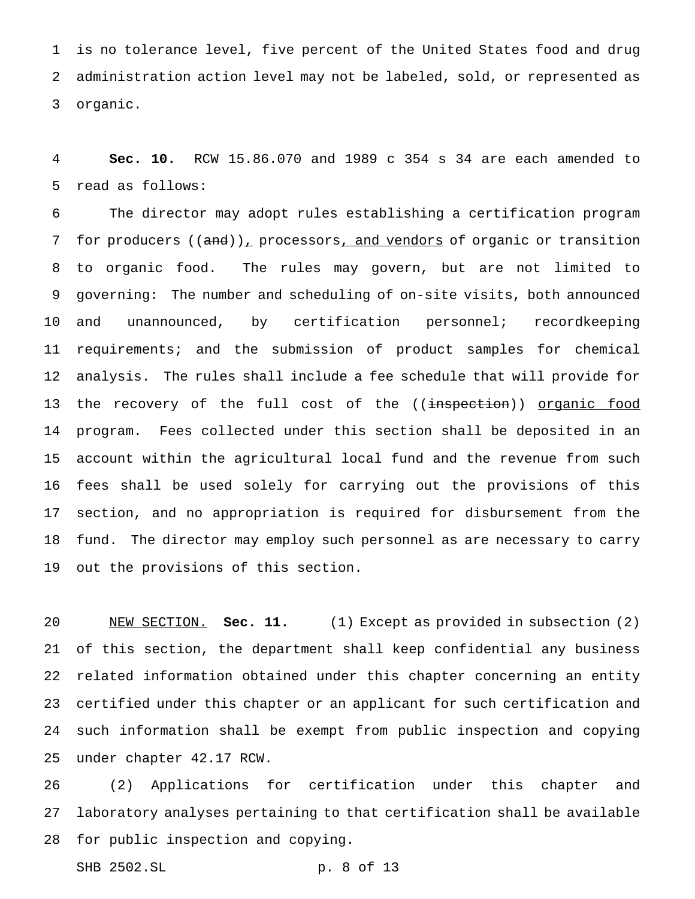is no tolerance level, five percent of the United States food and drug administration action level may not be labeled, sold, or represented as organic.

 **Sec. 10.** RCW 15.86.070 and 1989 c 354 s 34 are each amended to read as follows:

 The director may adopt rules establishing a certification program 7 for producers  $((and))_{L}$  processors, and vendors of organic or transition to organic food. The rules may govern, but are not limited to governing: The number and scheduling of on-site visits, both announced and unannounced, by certification personnel; recordkeeping requirements; and the submission of product samples for chemical analysis. The rules shall include a fee schedule that will provide for 13 the recovery of the full cost of the ((<del>inspection</del>)) <u>organic food</u> program. Fees collected under this section shall be deposited in an account within the agricultural local fund and the revenue from such fees shall be used solely for carrying out the provisions of this section, and no appropriation is required for disbursement from the fund. The director may employ such personnel as are necessary to carry out the provisions of this section.

 NEW SECTION. **Sec. 11.** (1) Except as provided in subsection (2) of this section, the department shall keep confidential any business related information obtained under this chapter concerning an entity certified under this chapter or an applicant for such certification and such information shall be exempt from public inspection and copying under chapter 42.17 RCW.

 (2) Applications for certification under this chapter and laboratory analyses pertaining to that certification shall be available for public inspection and copying.

```
SHB 2502.SL p. 8 of 13
```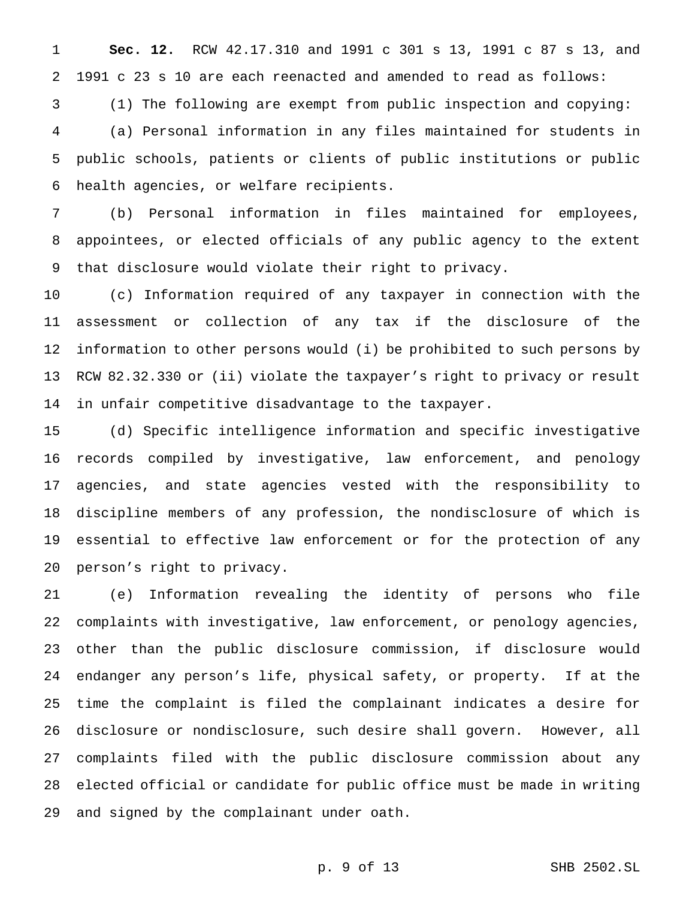**Sec. 12.** RCW 42.17.310 and 1991 c 301 s 13, 1991 c 87 s 13, and 1991 c 23 s 10 are each reenacted and amended to read as follows: (1) The following are exempt from public inspection and copying: (a) Personal information in any files maintained for students in public schools, patients or clients of public institutions or public health agencies, or welfare recipients.

 (b) Personal information in files maintained for employees, appointees, or elected officials of any public agency to the extent that disclosure would violate their right to privacy.

 (c) Information required of any taxpayer in connection with the assessment or collection of any tax if the disclosure of the information to other persons would (i) be prohibited to such persons by RCW 82.32.330 or (ii) violate the taxpayer's right to privacy or result in unfair competitive disadvantage to the taxpayer.

 (d) Specific intelligence information and specific investigative records compiled by investigative, law enforcement, and penology agencies, and state agencies vested with the responsibility to discipline members of any profession, the nondisclosure of which is essential to effective law enforcement or for the protection of any person's right to privacy.

 (e) Information revealing the identity of persons who file complaints with investigative, law enforcement, or penology agencies, other than the public disclosure commission, if disclosure would endanger any person's life, physical safety, or property. If at the time the complaint is filed the complainant indicates a desire for disclosure or nondisclosure, such desire shall govern. However, all complaints filed with the public disclosure commission about any elected official or candidate for public office must be made in writing and signed by the complainant under oath.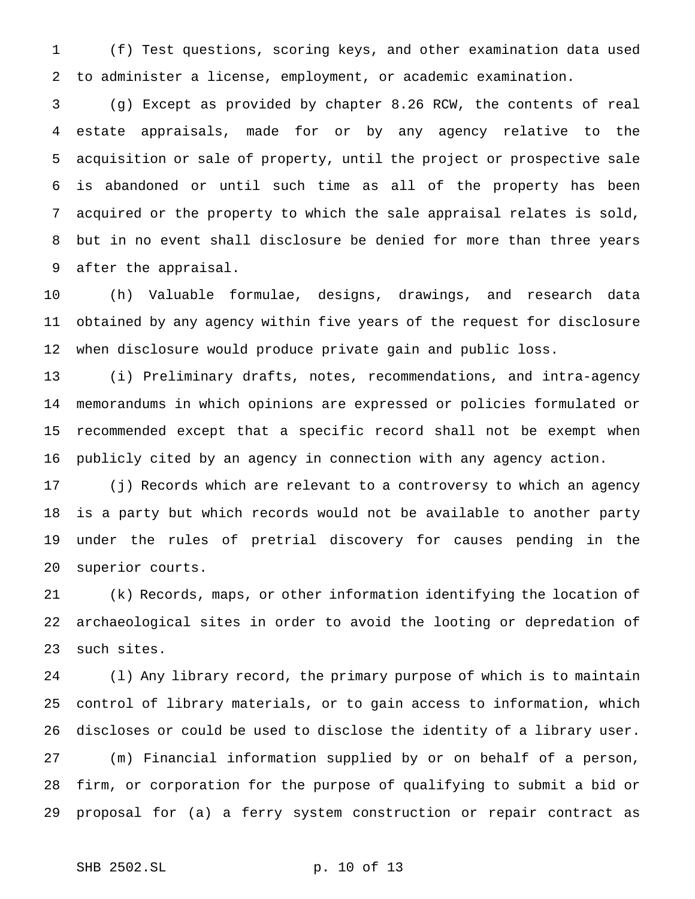(f) Test questions, scoring keys, and other examination data used to administer a license, employment, or academic examination.

 (g) Except as provided by chapter 8.26 RCW, the contents of real estate appraisals, made for or by any agency relative to the acquisition or sale of property, until the project or prospective sale is abandoned or until such time as all of the property has been acquired or the property to which the sale appraisal relates is sold, but in no event shall disclosure be denied for more than three years after the appraisal.

 (h) Valuable formulae, designs, drawings, and research data obtained by any agency within five years of the request for disclosure when disclosure would produce private gain and public loss.

 (i) Preliminary drafts, notes, recommendations, and intra-agency memorandums in which opinions are expressed or policies formulated or recommended except that a specific record shall not be exempt when publicly cited by an agency in connection with any agency action.

 (j) Records which are relevant to a controversy to which an agency is a party but which records would not be available to another party under the rules of pretrial discovery for causes pending in the superior courts.

 (k) Records, maps, or other information identifying the location of archaeological sites in order to avoid the looting or depredation of such sites.

 (l) Any library record, the primary purpose of which is to maintain control of library materials, or to gain access to information, which discloses or could be used to disclose the identity of a library user. (m) Financial information supplied by or on behalf of a person, firm, or corporation for the purpose of qualifying to submit a bid or proposal for (a) a ferry system construction or repair contract as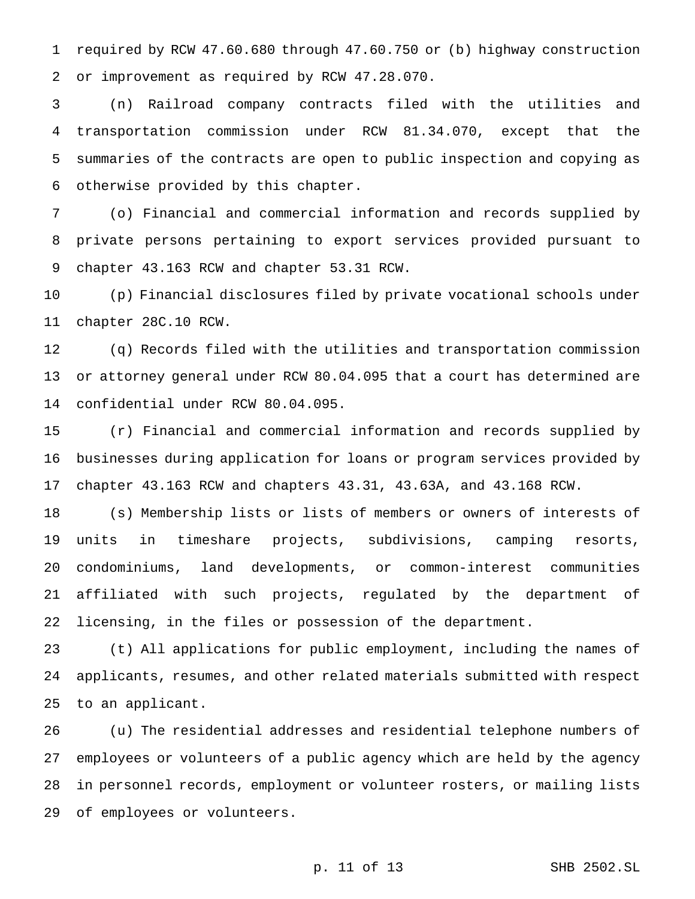required by RCW 47.60.680 through 47.60.750 or (b) highway construction or improvement as required by RCW 47.28.070.

 (n) Railroad company contracts filed with the utilities and transportation commission under RCW 81.34.070, except that the summaries of the contracts are open to public inspection and copying as otherwise provided by this chapter.

 (o) Financial and commercial information and records supplied by private persons pertaining to export services provided pursuant to chapter 43.163 RCW and chapter 53.31 RCW.

 (p) Financial disclosures filed by private vocational schools under chapter 28C.10 RCW.

 (q) Records filed with the utilities and transportation commission or attorney general under RCW 80.04.095 that a court has determined are confidential under RCW 80.04.095.

 (r) Financial and commercial information and records supplied by businesses during application for loans or program services provided by chapter 43.163 RCW and chapters 43.31, 43.63A, and 43.168 RCW.

 (s) Membership lists or lists of members or owners of interests of units in timeshare projects, subdivisions, camping resorts, condominiums, land developments, or common-interest communities affiliated with such projects, regulated by the department of licensing, in the files or possession of the department.

 (t) All applications for public employment, including the names of applicants, resumes, and other related materials submitted with respect to an applicant.

 (u) The residential addresses and residential telephone numbers of employees or volunteers of a public agency which are held by the agency in personnel records, employment or volunteer rosters, or mailing lists of employees or volunteers.

p. 11 of 13 SHB 2502.SL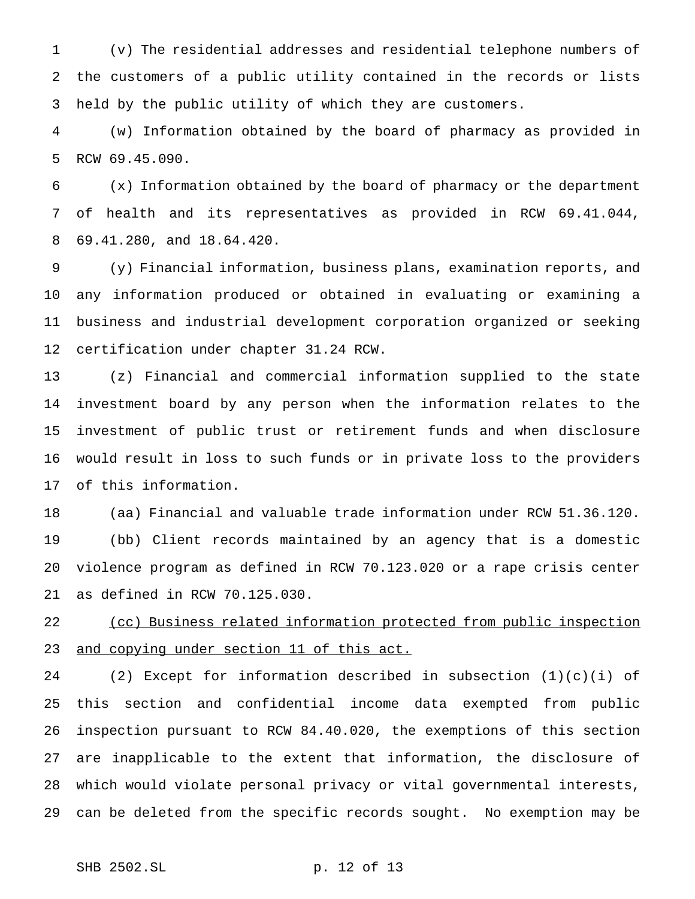(v) The residential addresses and residential telephone numbers of the customers of a public utility contained in the records or lists held by the public utility of which they are customers.

 (w) Information obtained by the board of pharmacy as provided in RCW 69.45.090.

 (x) Information obtained by the board of pharmacy or the department of health and its representatives as provided in RCW 69.41.044, 69.41.280, and 18.64.420.

 (y) Financial information, business plans, examination reports, and any information produced or obtained in evaluating or examining a business and industrial development corporation organized or seeking certification under chapter 31.24 RCW.

 (z) Financial and commercial information supplied to the state investment board by any person when the information relates to the investment of public trust or retirement funds and when disclosure would result in loss to such funds or in private loss to the providers of this information.

 (aa) Financial and valuable trade information under RCW 51.36.120. (bb) Client records maintained by an agency that is a domestic violence program as defined in RCW 70.123.020 or a rape crisis center as defined in RCW 70.125.030.

 (cc) Business related information protected from public inspection 23 and copying under section 11 of this act.

24 (2) Except for information described in subsection  $(1)(c)(i)$  of this section and confidential income data exempted from public inspection pursuant to RCW 84.40.020, the exemptions of this section are inapplicable to the extent that information, the disclosure of which would violate personal privacy or vital governmental interests, can be deleted from the specific records sought. No exemption may be